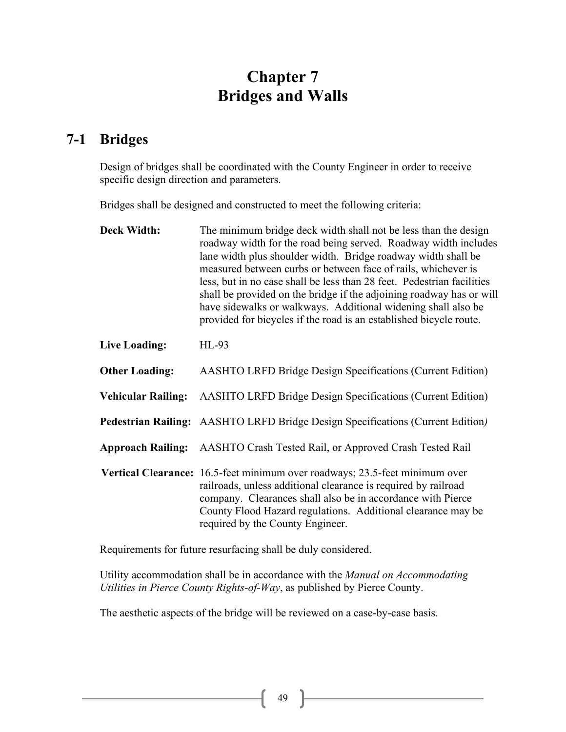# **Chapter 7 Bridges and Walls**

## **7-1 Bridges**

Design of bridges shall be coordinated with the County Engineer in order to receive specific design direction and parameters.

Bridges shall be designed and constructed to meet the following criteria:

| <b>Deck Width:</b>        | The minimum bridge deck width shall not be less than the design<br>roadway width for the road being served. Roadway width includes<br>lane width plus shoulder width. Bridge roadway width shall be<br>measured between curbs or between face of rails, whichever is<br>less, but in no case shall be less than 28 feet. Pedestrian facilities<br>shall be provided on the bridge if the adjoining roadway has or will<br>have sidewalks or walkways. Additional widening shall also be<br>provided for bicycles if the road is an established bicycle route. |
|---------------------------|---------------------------------------------------------------------------------------------------------------------------------------------------------------------------------------------------------------------------------------------------------------------------------------------------------------------------------------------------------------------------------------------------------------------------------------------------------------------------------------------------------------------------------------------------------------|
| Live Loading:             | $HL-93$                                                                                                                                                                                                                                                                                                                                                                                                                                                                                                                                                       |
| <b>Other Loading:</b>     | <b>AASHTO LRFD Bridge Design Specifications (Current Edition)</b>                                                                                                                                                                                                                                                                                                                                                                                                                                                                                             |
| <b>Vehicular Railing:</b> | <b>AASHTO LRFD Bridge Design Specifications (Current Edition)</b>                                                                                                                                                                                                                                                                                                                                                                                                                                                                                             |
|                           | Pedestrian Railing: AASHTO LRFD Bridge Design Specifications (Current Edition)                                                                                                                                                                                                                                                                                                                                                                                                                                                                                |
| <b>Approach Railing:</b>  | AASHTO Crash Tested Rail, or Approved Crash Tested Rail                                                                                                                                                                                                                                                                                                                                                                                                                                                                                                       |
|                           | Vertical Clearance: 16.5-feet minimum over roadways; 23.5-feet minimum over<br>railroads, unless additional clearance is required by railroad<br>company. Clearances shall also be in accordance with Pierce<br>County Flood Hazard regulations. Additional clearance may be<br>required by the County Engineer.                                                                                                                                                                                                                                              |

Requirements for future resurfacing shall be duly considered.

Utility accommodation shall be in accordance with the *Manual on Accommodating Utilities in Pierce County Rights-of-Way*, as published by Pierce County.

The aesthetic aspects of the bridge will be reviewed on a case-by-case basis.